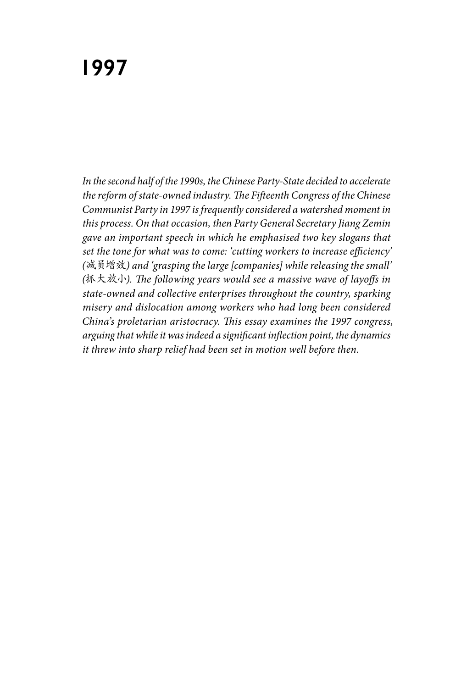*In the second half of the 1990s, the Chinese Party-State decided to accelerate the reform of state-owned industry. The Fifteenth Congress of the Chinese Communist Party in 1997 is frequently considered a watershed moment in this process. On that occasion, then Party General Secretary Jiang Zemin gave an important speech in which he emphasised two key slogans that set the tone for what was to come: 'cutting workers to increase efficiency' (*减员增效*) and 'grasping the large [companies] while releasing the small' (*抓大放小*). The following years would see a massive wave of layoffs in state-owned and collective enterprises throughout the country, sparking misery and dislocation among workers who had long been considered China's proletarian aristocracy. This essay examines the 1997 congress, arguing that while it was indeed a significant inflection point, the dynamics it threw into sharp relief had been set in motion well before then.*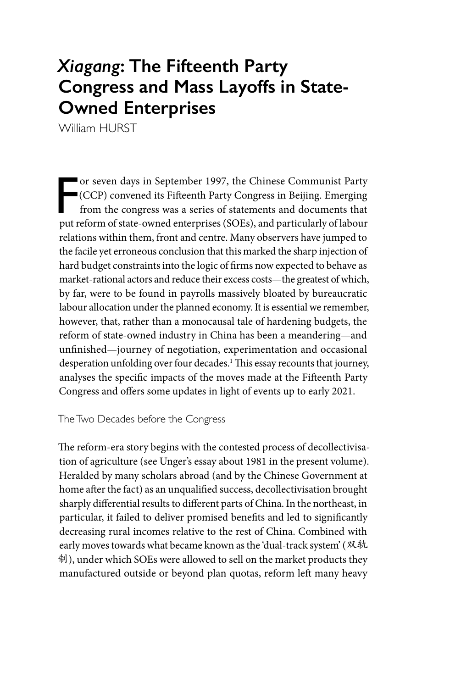# *Xiagang***: The Fifteenth Party Congress and Mass Layoffs in State-Owned Enterprises**

William HURST

 $\frac{1}{2}$ or seven days in September 1997, the Chinese Communist Party (CCP) convened its Fifteenth Party Congress in Beijing. Emerging from the congress was a series of statements and documents that put reform of state-owned enterprises (SOEs), and particularly of labour relations within them, front and centre. Many observers have jumped to the facile yet erroneous conclusion that this marked the sharp injection of hard budget constraints into the logic of firms now expected to behave as market-rational actors and reduce their excess costs—the greatest of which, by far, were to be found in payrolls massively bloated by bureaucratic labour allocation under the planned economy. It is essential we remember, however, that, rather than a monocausal tale of hardening budgets, the reform of state-owned industry in China has been a meandering—and unfinished—journey of negotiation, experimentation and occasional desperation unfolding over four decades.1 This essay recounts that journey, analyses the specific impacts of the moves made at the Fifteenth Party Congress and offers some updates in light of events up to early 2021.

The Two Decades before the Congress

The reform-era story begins with the contested process of decollectivisation of agriculture (see Unger's essay about 1981 in the present volume). Heralded by many scholars abroad (and by the Chinese Government at home after the fact) as an unqualified success, decollectivisation brought sharply differential results to different parts of China. In the northeast, in particular, it failed to deliver promised benefits and led to significantly decreasing rural incomes relative to the rest of China. Combined with early moves towards what became known as the 'dual-track system' (双轨 制), under which SOEs were allowed to sell on the market products they manufactured outside or beyond plan quotas, reform left many heavy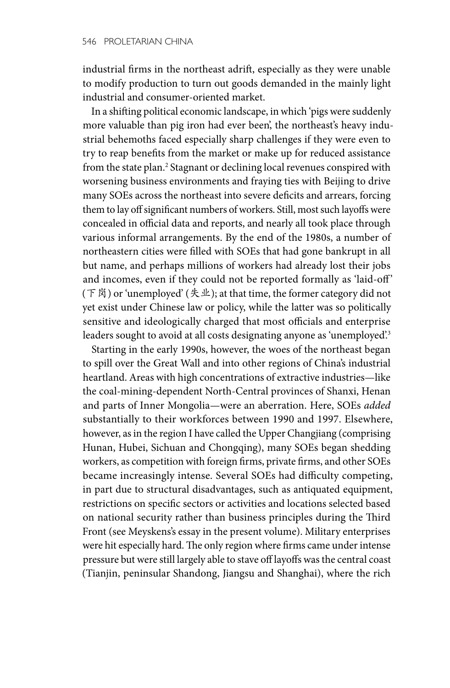industrial firms in the northeast adrift, especially as they were unable to modify production to turn out goods demanded in the mainly light industrial and consumer-oriented market.

In a shifting political economic landscape, in which 'pigs were suddenly more valuable than pig iron had ever been', the northeast's heavy industrial behemoths faced especially sharp challenges if they were even to try to reap benefits from the market or make up for reduced assistance from the state plan.<sup>2</sup> Stagnant or declining local revenues conspired with worsening business environments and fraying ties with Beijing to drive many SOEs across the northeast into severe deficits and arrears, forcing them to lay off significant numbers of workers. Still, most such layoffs were concealed in official data and reports, and nearly all took place through various informal arrangements. By the end of the 1980s, a number of northeastern cities were filled with SOEs that had gone bankrupt in all but name, and perhaps millions of workers had already lost their jobs and incomes, even if they could not be reported formally as 'laid-off' (下岗) or 'unemployed' (失业); at that time, the former category did not yet exist under Chinese law or policy, while the latter was so politically sensitive and ideologically charged that most officials and enterprise leaders sought to avoid at all costs designating anyone as 'unemployed'.<sup>3</sup>

Starting in the early 1990s, however, the woes of the northeast began to spill over the Great Wall and into other regions of China's industrial heartland. Areas with high concentrations of extractive industries—like the coal-mining-dependent North-Central provinces of Shanxi, Henan and parts of Inner Mongolia—were an aberration. Here, SOEs *added*  substantially to their workforces between 1990 and 1997. Elsewhere, however, as in the region I have called the Upper Changjiang (comprising Hunan, Hubei, Sichuan and Chongqing), many SOEs began shedding workers, as competition with foreign firms, private firms, and other SOEs became increasingly intense. Several SOEs had difficulty competing, in part due to structural disadvantages, such as antiquated equipment, restrictions on specific sectors or activities and locations selected based on national security rather than business principles during the Third Front (see Meyskens's essay in the present volume). Military enterprises were hit especially hard. The only region where firms came under intense pressure but were still largely able to stave off layoffs was the central coast (Tianjin, peninsular Shandong, Jiangsu and Shanghai), where the rich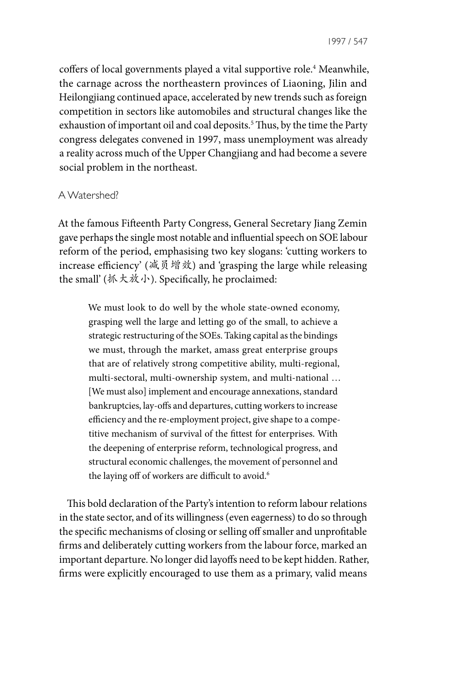coffers of local governments played a vital supportive role.<sup>4</sup> Meanwhile, the carnage across the northeastern provinces of Liaoning, Jilin and Heilongjiang continued apace, accelerated by new trends such as foreign competition in sectors like automobiles and structural changes like the exhaustion of important oil and coal deposits.5 Thus, by the time the Party congress delegates convened in 1997, mass unemployment was already a reality across much of the Upper Changjiang and had become a severe social problem in the northeast.

## A Watershed?

At the famous Fifteenth Party Congress, General Secretary Jiang Zemin gave perhaps the single most notable and influential speech on SOE labour reform of the period, emphasising two key slogans: 'cutting workers to increase efficiency' (减员增效) and 'grasping the large while releasing the small' (抓大放小). Specifically, he proclaimed:

We must look to do well by the whole state-owned economy, grasping well the large and letting go of the small, to achieve a strategic restructuring of the SOEs. Taking capital as the bindings we must, through the market, amass great enterprise groups that are of relatively strong competitive ability, multi-regional, multi-sectoral, multi-ownership system, and multi-national … [We must also] implement and encourage annexations, standard bankruptcies, lay-offs and departures, cutting workers to increase efficiency and the re-employment project, give shape to a competitive mechanism of survival of the fittest for enterprises. With the deepening of enterprise reform, technological progress, and structural economic challenges, the movement of personnel and the laying off of workers are difficult to avoid.<sup>6</sup>

This bold declaration of the Party's intention to reform labour relations in the state sector, and of its willingness (even eagerness) to do so through the specific mechanisms of closing or selling off smaller and unprofitable firms and deliberately cutting workers from the labour force, marked an important departure. No longer did layoffs need to be kept hidden. Rather, firms were explicitly encouraged to use them as a primary, valid means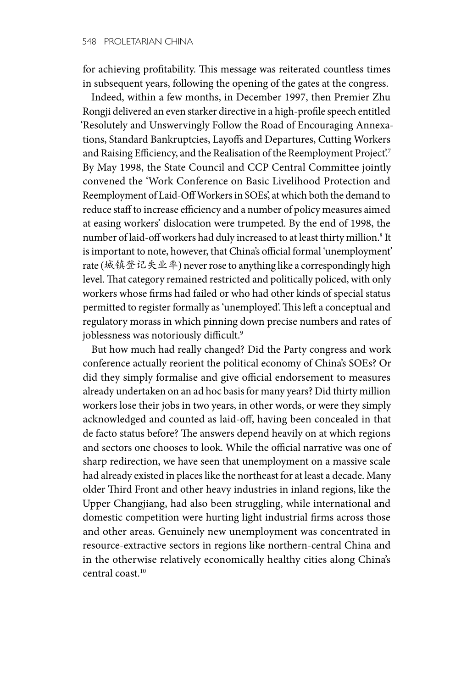for achieving profitability. This message was reiterated countless times in subsequent years, following the opening of the gates at the congress.

Indeed, within a few months, in December 1997, then Premier Zhu Rongji delivered an even starker directive in a high-profile speech entitled 'Resolutely and Unswervingly Follow the Road of Encouraging Annexations, Standard Bankruptcies, Layoffs and Departures, Cutting Workers and Raising Efficiency, and the Realisation of the Reemployment Project'.7 By May 1998, the State Council and CCP Central Committee jointly convened the 'Work Conference on Basic Livelihood Protection and Reemployment of Laid-Off Workers in SOEs', at which both the demand to reduce staff to increase efficiency and a number of policy measures aimed at easing workers' dislocation were trumpeted. By the end of 1998, the number of laid-off workers had duly increased to at least thirty million.<sup>8</sup> It is important to note, however, that China's official formal 'unemployment' rate (城镇登记失业率) never rose to anything like a correspondingly high level. That category remained restricted and politically policed, with only workers whose firms had failed or who had other kinds of special status permitted to register formally as 'unemployed'. This left a conceptual and regulatory morass in which pinning down precise numbers and rates of joblessness was notoriously difficult.<sup>9</sup>

But how much had really changed? Did the Party congress and work conference actually reorient the political economy of China's SOEs? Or did they simply formalise and give official endorsement to measures already undertaken on an ad hoc basis for many years? Did thirty million workers lose their jobs in two years, in other words, or were they simply acknowledged and counted as laid-off, having been concealed in that de facto status before? The answers depend heavily on at which regions and sectors one chooses to look. While the official narrative was one of sharp redirection, we have seen that unemployment on a massive scale had already existed in places like the northeast for at least a decade. Many older Third Front and other heavy industries in inland regions, like the Upper Changjiang, had also been struggling, while international and domestic competition were hurting light industrial firms across those and other areas. Genuinely new unemployment was concentrated in resource-extractive sectors in regions like northern-central China and in the otherwise relatively economically healthy cities along China's central coast.10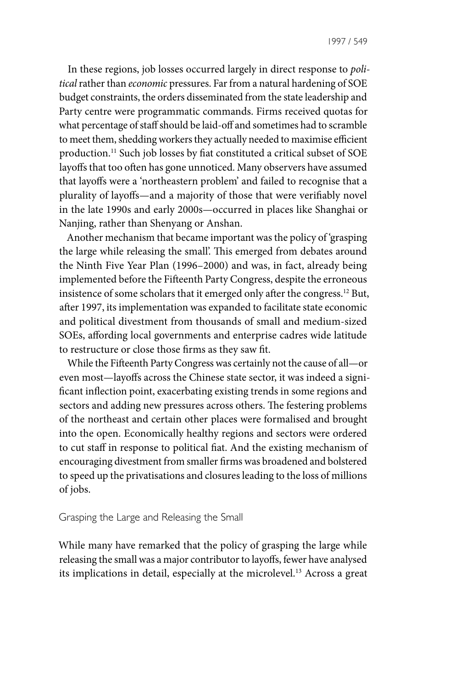In these regions, job losses occurred largely in direct response to *political* rather than *economic* pressures. Far from a natural hardening of SOE budget constraints, the orders disseminated from the state leadership and Party centre were programmatic commands. Firms received quotas for what percentage of staff should be laid-off and sometimes had to scramble to meet them, shedding workers they actually needed to maximise efficient production.11 Such job losses by fiat constituted a critical subset of SOE layoffs that too often has gone unnoticed. Many observers have assumed that layoffs were a 'northeastern problem' and failed to recognise that a plurality of layoffs—and a majority of those that were verifiably novel in the late 1990s and early 2000s—occurred in places like Shanghai or Nanjing, rather than Shenyang or Anshan.

Another mechanism that became important was the policy of 'grasping the large while releasing the small'. This emerged from debates around the Ninth Five Year Plan (1996–2000) and was, in fact, already being implemented before the Fifteenth Party Congress, despite the erroneous insistence of some scholars that it emerged only after the congress.12 But, after 1997, its implementation was expanded to facilitate state economic and political divestment from thousands of small and medium-sized SOEs, affording local governments and enterprise cadres wide latitude to restructure or close those firms as they saw fit.

While the Fifteenth Party Congress was certainly not the cause of all—or even most—layoffs across the Chinese state sector, it was indeed a significant inflection point, exacerbating existing trends in some regions and sectors and adding new pressures across others. The festering problems of the northeast and certain other places were formalised and brought into the open. Economically healthy regions and sectors were ordered to cut staff in response to political fiat. And the existing mechanism of encouraging divestment from smaller firms was broadened and bolstered to speed up the privatisations and closures leading to the loss of millions of jobs.

#### Grasping the Large and Releasing the Small

While many have remarked that the policy of grasping the large while releasing the small was a major contributor to layoffs, fewer have analysed its implications in detail, especially at the microlevel.<sup>13</sup> Across a great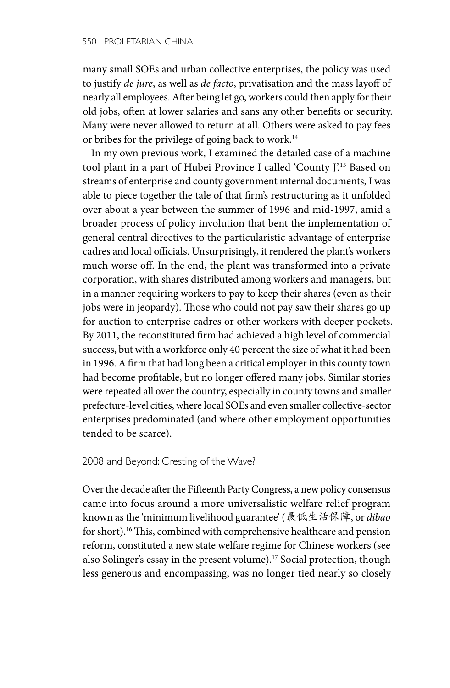many small SOEs and urban collective enterprises, the policy was used to justify *de jure*, as well as *de facto*, privatisation and the mass layoff of nearly all employees. After being let go, workers could then apply for their old jobs, often at lower salaries and sans any other benefits or security. Many were never allowed to return at all. Others were asked to pay fees or bribes for the privilege of going back to work.<sup>14</sup>

In my own previous work, I examined the detailed case of a machine tool plant in a part of Hubei Province I called 'County J'.15 Based on streams of enterprise and county government internal documents, I was able to piece together the tale of that firm's restructuring as it unfolded over about a year between the summer of 1996 and mid-1997, amid a broader process of policy involution that bent the implementation of general central directives to the particularistic advantage of enterprise cadres and local officials. Unsurprisingly, it rendered the plant's workers much worse off. In the end, the plant was transformed into a private corporation, with shares distributed among workers and managers, but in a manner requiring workers to pay to keep their shares (even as their jobs were in jeopardy). Those who could not pay saw their shares go up for auction to enterprise cadres or other workers with deeper pockets. By 2011, the reconstituted firm had achieved a high level of commercial success, but with a workforce only 40 percent the size of what it had been in 1996. A firm that had long been a critical employer in this county town had become profitable, but no longer offered many jobs. Similar stories were repeated all over the country, especially in county towns and smaller prefecture-level cities, where local SOEs and even smaller collective-sector enterprises predominated (and where other employment opportunities tended to be scarce).

### 2008 and Beyond: Cresting of the Wave?

Over the decade after the Fifteenth Party Congress, a new policy consensus came into focus around a more universalistic welfare relief program known as the 'minimum livelihood guarantee' (最低生活保障, or *dibao* for short).16 This, combined with comprehensive healthcare and pension reform, constituted a new state welfare regime for Chinese workers (see also Solinger's essay in the present volume).<sup>17</sup> Social protection, though less generous and encompassing, was no longer tied nearly so closely